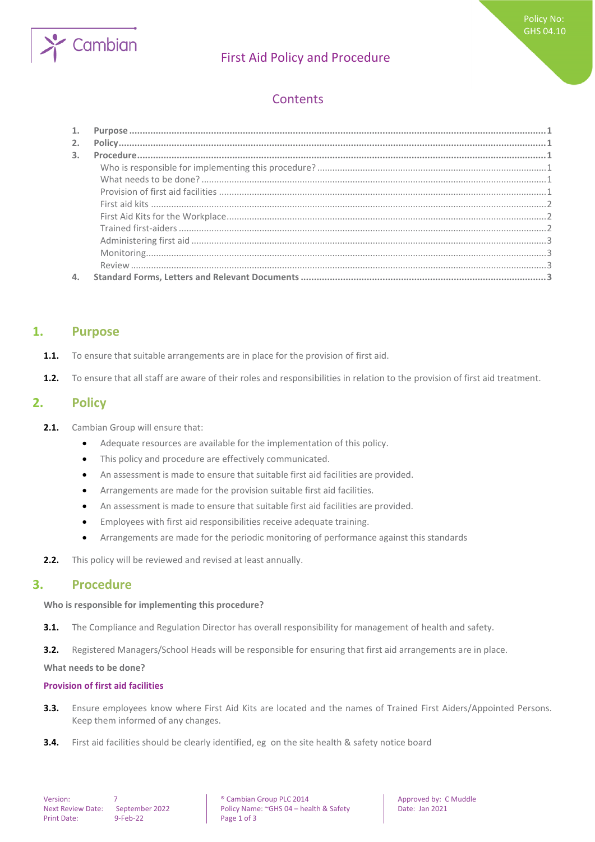

# First Aid Policy and Procedure

# **Contents**

| 2. |  |
|----|--|
| 3. |  |
|    |  |
|    |  |
|    |  |
|    |  |
|    |  |
|    |  |
|    |  |
|    |  |
|    |  |
| 4. |  |

## <span id="page-0-0"></span>**1. Purpose**

- **1.1.** To ensure that suitable arrangements are in place for the provision of first aid.
- <span id="page-0-1"></span>**1.2.** To ensure that all staff are aware of their roles and responsibilities in relation to the provision of first aid treatment.

## **2. Policy**

- **2.1.** Cambian Group will ensure that:
	- Adequate resources are available for the implementation of this policy.
	- This policy and procedure are effectively communicated.
	- An assessment is made to ensure that suitable first aid facilities are provided.
	- Arrangements are made for the provision suitable first aid facilities.
	- An assessment is made to ensure that suitable first aid facilities are provided.
	- Employees with first aid responsibilities receive adequate training.
	- Arrangements are made for the periodic monitoring of performance against this standards
- <span id="page-0-2"></span>**2.2.** This policy will be reviewed and revised at least annually.

### **3. Procedure**

#### <span id="page-0-3"></span>**Who is responsible for implementing this procedure?**

**3.1.** The Compliance and Regulation Director has overall responsibility for management of health and safety.

**3.2.** Registered Managers/School Heads will be responsible for ensuring that first aid arrangements are in place.

<span id="page-0-4"></span>**What needs to be done?**

#### <span id="page-0-5"></span>**Provision of first aid facilities**

- **3.3.** Ensure employees know where First Aid Kits are located and the names of Trained First Aiders/Appointed Persons. Keep them informed of any changes.
- **3.4.** First aid facilities should be clearly identified, eg on the site health & safety notice board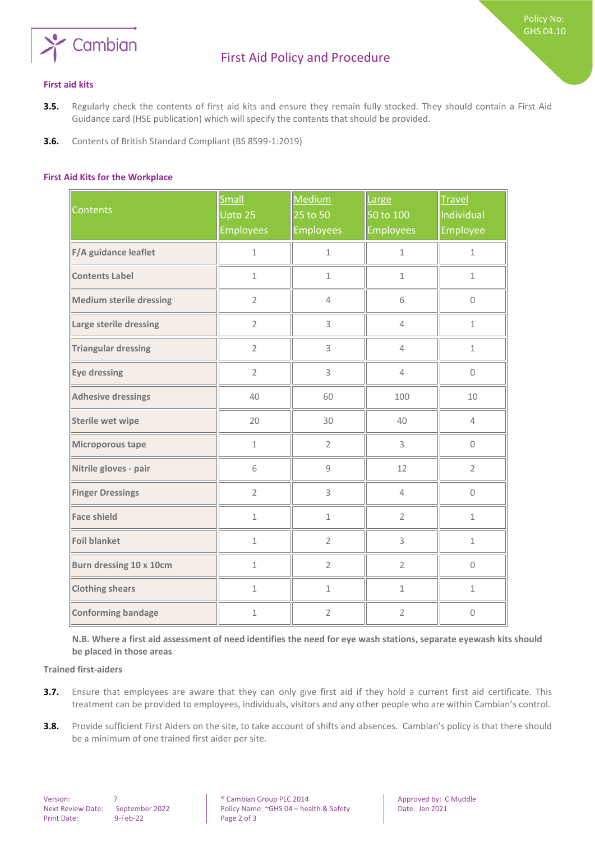

Policy No: GHS 04.10

#### <span id="page-1-0"></span>**First aid kits**

- **3.5.** Regularly check the contents of first aid kits and ensure they remain fully stocked. They should contain a First Aid Guidance card (HSE publication) which will specify the contents that should be provided.
- <span id="page-1-1"></span>**3.6.** Contents of British Standard Compliant (BS 8599-1:2019)

#### **First Aid Kits for the Workplace**

| <b>Contents</b>                | Small<br>Upto 25<br><b>Employees</b> | Medium<br>25 to 50<br><b>Employees</b> | Large<br>50 to 100<br><b>Employees</b> | <b>Travel</b><br>Individual<br>Employee |
|--------------------------------|--------------------------------------|----------------------------------------|----------------------------------------|-----------------------------------------|
| F/A guidance leaflet           | $\mathbf 1$                          | $\mathbf 1$                            | $\mathbf 1$                            | $\mathbf 1$                             |
| <b>Contents Label</b>          | $1\,$                                | $1\,$                                  | $\mathbf 1$                            | $1\,$                                   |
| <b>Medium sterile dressing</b> | $\overline{2}$                       | $\overline{4}$                         | 6                                      | $\mathsf{O}\xspace$                     |
| Large sterile dressing         | $\overline{2}$                       | 3                                      | $\overline{4}$                         | $1\,$                                   |
| <b>Triangular dressing</b>     | $\overline{2}$                       | 3                                      | $\overline{4}$                         | $1\,$                                   |
| Eye dressing                   | $\overline{2}$                       | 3                                      | $\overline{4}$                         | $\Omega$                                |
| <b>Adhesive dressings</b>      | 40                                   | 60                                     | 100                                    | 10                                      |
| Sterile wet wipe               | 20                                   | 30                                     | 40                                     | $\overline{4}$                          |
| Microporous tape               | $1\,$                                | $\overline{2}$                         | 3                                      | $\mathsf{O}\xspace$                     |
| Nitrile gloves - pair          | 6                                    | $\mathsf g$                            | 12                                     | $\overline{2}$                          |
| <b>Finger Dressings</b>        | $\overline{2}$                       | 3                                      | $\overline{4}$                         | $\mathbf 0$                             |
| <b>Face shield</b>             | $\mathbf 1$                          | $\mathbf 1$                            | $\overline{2}$                         | $\mathbf 1$                             |
| <b>Foil blanket</b>            | $\mathbf 1$                          | $\overline{2}$                         | 3                                      | $\mathbf{1}$                            |
| Burn dressing 10 x 10cm        | $\mathbf{1}$                         | $\overline{2}$                         | $\overline{2}$                         | $\Omega$                                |
| <b>Clothing shears</b>         | $\mathbf{1}$                         | $\mathbf{1}$                           | $\mathbf{1}$                           | $\mathbf 1$                             |
| Conforming bandage             | $\mathbf 1$                          | $\overline{2}$                         | $\overline{2}$                         | $\Omega$                                |

<span id="page-1-2"></span>**N.B. Where a first aid assessment of need identifies the need for eye wash stations, separate eyewash kits should be placed in those areas** 

**Trained first-aiders**

- **3.7.** Ensure that employees are aware that they can only give first aid if they hold a current first aid certificate. This treatment can be provided to employees, individuals, visitors and any other people who are within Cambian's control.
- **3.8.** Provide sufficient First Aiders on the site, to take account of shifts and absences. Cambian's policy is that there should be a minimum of one trained first aider per site.